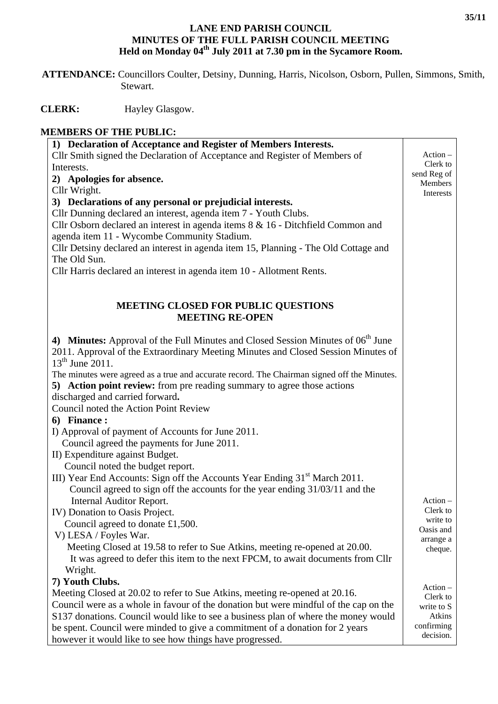## **LANE END PARISH COUNCIL MINUTES OF THE FULL PARISH COUNCIL MEETING Held on Monday 04th July 2011 at 7.30 pm in the Sycamore Room.**

 **ATTENDANCE:** Councillors Coulter, Detsiny, Dunning, Harris, Nicolson, Osborn, Pullen, Simmons, Smith, Stewart.

**CLERK:** Hayley Glasgow.

## **MEMBERS OF THE PUBLIC:**

| 1) Declaration of Acceptance and Register of Members Interests.                             |                      |
|---------------------------------------------------------------------------------------------|----------------------|
| Cllr Smith signed the Declaration of Acceptance and Register of Members of                  | $Action -$           |
| Interests.                                                                                  | Clerk to             |
| 2) Apologies for absence.                                                                   | send Reg of          |
| Cllr Wright.                                                                                | Members<br>Interests |
| 3) Declarations of any personal or prejudicial interests.                                   |                      |
| Cllr Dunning declared an interest, agenda item 7 - Youth Clubs.                             |                      |
| Cllr Osborn declared an interest in agenda items 8 & 16 - Ditchfield Common and             |                      |
| agenda item 11 - Wycombe Community Stadium.                                                 |                      |
| Cllr Detsiny declared an interest in agenda item 15, Planning - The Old Cottage and         |                      |
| The Old Sun.                                                                                |                      |
| Cllr Harris declared an interest in agenda item 10 - Allotment Rents.                       |                      |
| <b>MEETING CLOSED FOR PUBLIC QUESTIONS</b><br><b>MEETING RE-OPEN</b>                        |                      |
|                                                                                             |                      |
| 4) Minutes: Approval of the Full Minutes and Closed Session Minutes of $06th$ June          |                      |
| 2011. Approval of the Extraordinary Meeting Minutes and Closed Session Minutes of           |                      |
| $13^{th}$ June 2011.                                                                        |                      |
| The minutes were agreed as a true and accurate record. The Chairman signed off the Minutes. |                      |
| 5) Action point review: from pre reading summary to agree those actions                     |                      |
| discharged and carried forward.                                                             |                      |
| Council noted the Action Point Review                                                       |                      |
| 6) Finance:                                                                                 |                      |
| I) Approval of payment of Accounts for June 2011.                                           |                      |
| Council agreed the payments for June 2011.                                                  |                      |
| II) Expenditure against Budget.                                                             |                      |
| Council noted the budget report.                                                            |                      |
| III) Year End Accounts: Sign off the Accounts Year Ending 31 <sup>st</sup> March 2011.      |                      |
| Council agreed to sign off the accounts for the year ending 31/03/11 and the                |                      |
| <b>Internal Auditor Report.</b>                                                             | $Action -$           |
| IV) Donation to Oasis Project.                                                              | Clerk to<br>write to |
| Council agreed to donate $£1,500$ .                                                         | Oasis and            |
| V) LESA / Foyles War.                                                                       | arrange a            |
| Meeting Closed at 19.58 to refer to Sue Atkins, meeting re-opened at 20.00.                 | cheque.              |
| It was agreed to defer this item to the next FPCM, to await documents from Cllr             |                      |
| Wright.                                                                                     |                      |
| 7) Youth Clubs.                                                                             | $Action -$           |
| Meeting Closed at 20.02 to refer to Sue Atkins, meeting re-opened at 20.16.                 | Clerk to             |
| Council were as a whole in favour of the donation but were mindful of the cap on the        | write to S           |
| S137 donations. Council would like to see a business plan of where the money would          | Atkins               |
| be spent. Council were minded to give a commitment of a donation for 2 years                | confirming           |
| however it would like to see how things have progressed.                                    | decision.            |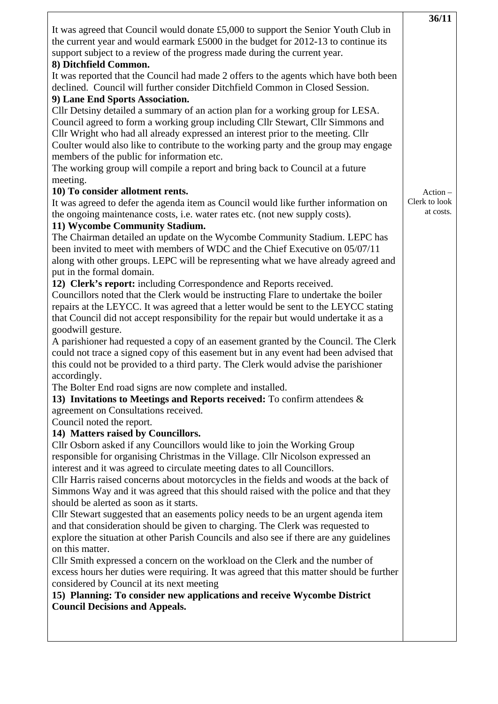|                                                                                                                                                                          | 36/11                      |
|--------------------------------------------------------------------------------------------------------------------------------------------------------------------------|----------------------------|
| It was agreed that Council would donate £5,000 to support the Senior Youth Club in<br>the current year and would earmark £5000 in the budget for 2012-13 to continue its |                            |
| support subject to a review of the progress made during the current year.                                                                                                |                            |
| 8) Ditchfield Common.                                                                                                                                                    |                            |
| It was reported that the Council had made 2 offers to the agents which have both been                                                                                    |                            |
| declined. Council will further consider Ditchfield Common in Closed Session.                                                                                             |                            |
| 9) Lane End Sports Association.                                                                                                                                          |                            |
| Cllr Detsiny detailed a summary of an action plan for a working group for LESA.                                                                                          |                            |
| Council agreed to form a working group including Cllr Stewart, Cllr Simmons and                                                                                          |                            |
| Cllr Wright who had all already expressed an interest prior to the meeting. Cllr                                                                                         |                            |
| Coulter would also like to contribute to the working party and the group may engage                                                                                      |                            |
| members of the public for information etc.                                                                                                                               |                            |
| The working group will compile a report and bring back to Council at a future                                                                                            |                            |
| meeting.                                                                                                                                                                 |                            |
| 10) To consider allotment rents.                                                                                                                                         | $Action -$                 |
| It was agreed to defer the agenda item as Council would like further information on                                                                                      | Clerk to look<br>at costs. |
| the ongoing maintenance costs, i.e. water rates etc. (not new supply costs).<br>11) Wycombe Community Stadium.                                                           |                            |
| The Chairman detailed an update on the Wycombe Community Stadium. LEPC has                                                                                               |                            |
| been invited to meet with members of WDC and the Chief Executive on 05/07/11                                                                                             |                            |
| along with other groups. LEPC will be representing what we have already agreed and                                                                                       |                            |
| put in the formal domain.                                                                                                                                                |                            |
| 12) Clerk's report: including Correspondence and Reports received.                                                                                                       |                            |
| Councillors noted that the Clerk would be instructing Flare to undertake the boiler                                                                                      |                            |
| repairs at the LEYCC. It was agreed that a letter would be sent to the LEYCC stating                                                                                     |                            |
| that Council did not accept responsibility for the repair but would undertake it as a                                                                                    |                            |
| goodwill gesture.                                                                                                                                                        |                            |
| A parishioner had requested a copy of an easement granted by the Council. The Clerk                                                                                      |                            |
| could not trace a signed copy of this easement but in any event had been advised that                                                                                    |                            |
| this could not be provided to a third party. The Clerk would advise the parishioner                                                                                      |                            |
| accordingly.                                                                                                                                                             |                            |
| The Bolter End road signs are now complete and installed.                                                                                                                |                            |
| 13) Invitations to Meetings and Reports received: To confirm attendees $\&$                                                                                              |                            |
| agreement on Consultations received.                                                                                                                                     |                            |
| Council noted the report.<br>14) Matters raised by Councillors.                                                                                                          |                            |
| Cllr Osborn asked if any Councillors would like to join the Working Group                                                                                                |                            |
| responsible for organising Christmas in the Village. Cllr Nicolson expressed an                                                                                          |                            |
| interest and it was agreed to circulate meeting dates to all Councillors.                                                                                                |                            |
| Cllr Harris raised concerns about motorcycles in the fields and woods at the back of                                                                                     |                            |
| Simmons Way and it was agreed that this should raised with the police and that they                                                                                      |                            |
| should be alerted as soon as it starts.                                                                                                                                  |                            |
| Cllr Stewart suggested that an easements policy needs to be an urgent agenda item                                                                                        |                            |
| and that consideration should be given to charging. The Clerk was requested to                                                                                           |                            |
| explore the situation at other Parish Councils and also see if there are any guidelines                                                                                  |                            |
| on this matter.                                                                                                                                                          |                            |
| Cllr Smith expressed a concern on the workload on the Clerk and the number of                                                                                            |                            |
| excess hours her duties were requiring. It was agreed that this matter should be further                                                                                 |                            |
| considered by Council at its next meeting                                                                                                                                |                            |
| 15) Planning: To consider new applications and receive Wycombe District                                                                                                  |                            |
| <b>Council Decisions and Appeals.</b>                                                                                                                                    |                            |
|                                                                                                                                                                          |                            |
|                                                                                                                                                                          |                            |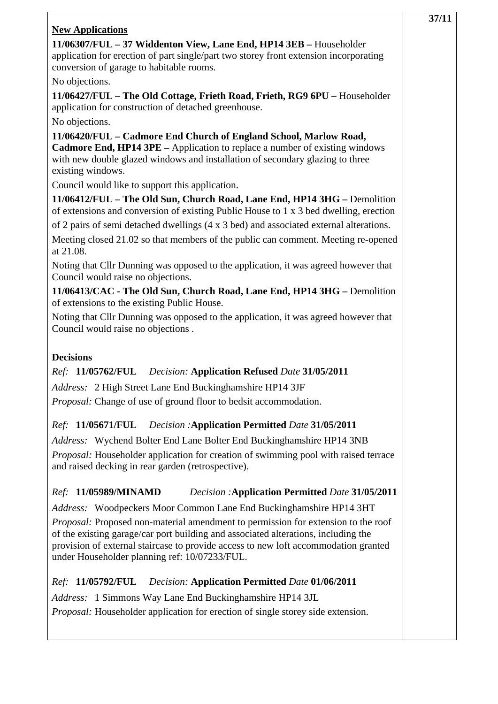|                                                                                                                                                                                                                                                                                                                 | 37/11 |
|-----------------------------------------------------------------------------------------------------------------------------------------------------------------------------------------------------------------------------------------------------------------------------------------------------------------|-------|
| <b>New Applications</b>                                                                                                                                                                                                                                                                                         |       |
| 11/06307/FUL - 37 Widdenton View, Lane End, HP14 3EB - Householder<br>application for erection of part single/part two storey front extension incorporating                                                                                                                                                     |       |
| conversion of garage to habitable rooms.                                                                                                                                                                                                                                                                        |       |
| No objections.                                                                                                                                                                                                                                                                                                  |       |
| 11/06427/FUL - The Old Cottage, Frieth Road, Frieth, RG9 6PU - Householder                                                                                                                                                                                                                                      |       |
| application for construction of detached greenhouse.                                                                                                                                                                                                                                                            |       |
| No objections.                                                                                                                                                                                                                                                                                                  |       |
| 11/06420/FUL - Cadmore End Church of England School, Marlow Road,<br>Cadmore End, HP14 3PE - Application to replace a number of existing windows<br>with new double glazed windows and installation of secondary glazing to three<br>existing windows.                                                          |       |
| Council would like to support this application.                                                                                                                                                                                                                                                                 |       |
| 11/06412/FUL - The Old Sun, Church Road, Lane End, HP14 3HG - Demolition                                                                                                                                                                                                                                        |       |
| of extensions and conversion of existing Public House to 1 x 3 bed dwelling, erection                                                                                                                                                                                                                           |       |
| of 2 pairs of semi detached dwellings (4 x 3 bed) and associated external alterations.                                                                                                                                                                                                                          |       |
| Meeting closed 21.02 so that members of the public can comment. Meeting re-opened<br>at 21.08.                                                                                                                                                                                                                  |       |
| Noting that Cllr Dunning was opposed to the application, it was agreed however that<br>Council would raise no objections.                                                                                                                                                                                       |       |
| 11/06413/CAC - The Old Sun, Church Road, Lane End, HP14 3HG - Demolition                                                                                                                                                                                                                                        |       |
| of extensions to the existing Public House.                                                                                                                                                                                                                                                                     |       |
| Noting that Cllr Dunning was opposed to the application, it was agreed however that<br>Council would raise no objections.                                                                                                                                                                                       |       |
| <b>Decisions</b>                                                                                                                                                                                                                                                                                                |       |
| Ref: 11/05762/FUL Decision: Application Refused Date 31/05/2011                                                                                                                                                                                                                                                 |       |
| Address: 2 High Street Lane End Buckinghamshire HP14 3JF                                                                                                                                                                                                                                                        |       |
| <i>Proposal:</i> Change of use of ground floor to bedsit accommodation.                                                                                                                                                                                                                                         |       |
|                                                                                                                                                                                                                                                                                                                 |       |
| Ref: 11/05671/FUL Decision : Application Permitted Date 31/05/2011                                                                                                                                                                                                                                              |       |
| Address: Wychend Bolter End Lane Bolter End Buckinghamshire HP14 3NB                                                                                                                                                                                                                                            |       |
| Proposal: Householder application for creation of swimming pool with raised terrace<br>and raised decking in rear garden (retrospective).                                                                                                                                                                       |       |
| Ref: 11/05989/MINAMD<br><b>Decision: Application Permitted Date 31/05/2011</b>                                                                                                                                                                                                                                  |       |
| Address: Woodpeckers Moor Common Lane End Buckinghamshire HP14 3HT                                                                                                                                                                                                                                              |       |
| Proposal: Proposed non-material amendment to permission for extension to the roof<br>of the existing garage/car port building and associated alterations, including the<br>provision of external staircase to provide access to new loft accommodation granted<br>under Householder planning ref: 10/07233/FUL. |       |
| <b>Decision: Application Permitted Date 01/06/2011</b><br>Ref: 11/05792/FUL                                                                                                                                                                                                                                     |       |
| Address: 1 Simmons Way Lane End Buckinghamshire HP14 3JL                                                                                                                                                                                                                                                        |       |
| <i>Proposal:</i> Householder application for erection of single storey side extension.                                                                                                                                                                                                                          |       |
|                                                                                                                                                                                                                                                                                                                 |       |